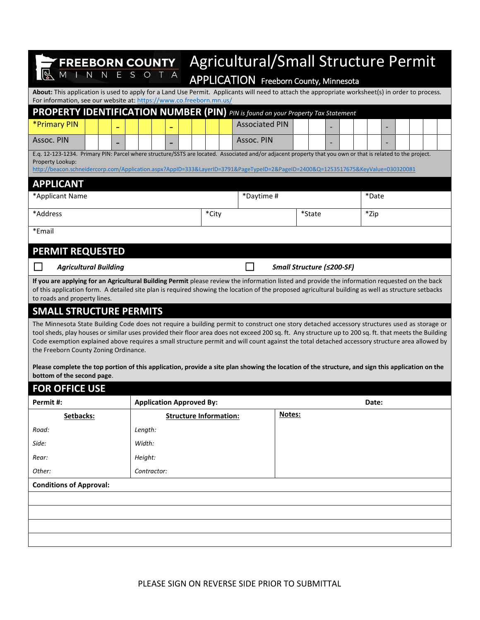| <b>FREEBORN COUNTY</b><br>$\overline{N}$                                                                                                                                                                                                                                                                                                                                                                                                                                                         | $T$ A                           | <b>Agricultural/Small Structure Permit</b><br>APPLICATION Freeborn County, Minnesota<br>About: This application is used to apply for a Land Use Permit. Applicants will need to attach the appropriate worksheet(s) in order to process. |  |       |                       |        |        |  |  |  |       |  |  |  |  |
|--------------------------------------------------------------------------------------------------------------------------------------------------------------------------------------------------------------------------------------------------------------------------------------------------------------------------------------------------------------------------------------------------------------------------------------------------------------------------------------------------|---------------------------------|------------------------------------------------------------------------------------------------------------------------------------------------------------------------------------------------------------------------------------------|--|-------|-----------------------|--------|--------|--|--|--|-------|--|--|--|--|
| For information, see our website at: https://www.co.freeborn.mn.us/<br>PROPERTY IDENTIFICATION NUMBER (PIN) PIN is found on your Property Tax Statement                                                                                                                                                                                                                                                                                                                                          |                                 |                                                                                                                                                                                                                                          |  |       |                       |        |        |  |  |  |       |  |  |  |  |
| *Primary PIN                                                                                                                                                                                                                                                                                                                                                                                                                                                                                     |                                 |                                                                                                                                                                                                                                          |  |       | <b>Associated PIN</b> |        |        |  |  |  |       |  |  |  |  |
| Assoc. PIN                                                                                                                                                                                                                                                                                                                                                                                                                                                                                       |                                 |                                                                                                                                                                                                                                          |  |       | Assoc. PIN            |        |        |  |  |  |       |  |  |  |  |
| E.q. 12-123-1234. Primary PIN: Parcel where structure/SSTS are located. Associated and/or adjacent property that you own or that is related to the project.<br>Property Lookup:<br>http://beacon.schneidercorp.com/Application.aspx?AppID=333&LayerID=3791&PageTypeID=2&PageID=2400&Q=1253517675&KeyValue=030320081                                                                                                                                                                              |                                 |                                                                                                                                                                                                                                          |  |       |                       |        |        |  |  |  |       |  |  |  |  |
| <b>APPLICANT</b>                                                                                                                                                                                                                                                                                                                                                                                                                                                                                 |                                 |                                                                                                                                                                                                                                          |  |       |                       |        |        |  |  |  |       |  |  |  |  |
| *Applicant Name                                                                                                                                                                                                                                                                                                                                                                                                                                                                                  |                                 |                                                                                                                                                                                                                                          |  |       | *Daytime #            |        |        |  |  |  | *Date |  |  |  |  |
| *Address                                                                                                                                                                                                                                                                                                                                                                                                                                                                                         |                                 |                                                                                                                                                                                                                                          |  | *City |                       |        | *State |  |  |  | *Zip  |  |  |  |  |
| *Email                                                                                                                                                                                                                                                                                                                                                                                                                                                                                           |                                 |                                                                                                                                                                                                                                          |  |       |                       |        |        |  |  |  |       |  |  |  |  |
| <b>PERMIT REQUESTED</b>                                                                                                                                                                                                                                                                                                                                                                                                                                                                          |                                 |                                                                                                                                                                                                                                          |  |       |                       |        |        |  |  |  |       |  |  |  |  |
| Small Structure (≤200-SF)<br><b>Agricultural Building</b>                                                                                                                                                                                                                                                                                                                                                                                                                                        |                                 |                                                                                                                                                                                                                                          |  |       |                       |        |        |  |  |  |       |  |  |  |  |
| If you are applying for an Agricultural Building Permit please review the information listed and provide the information requested on the back<br>of this application form. A detailed site plan is required showing the location of the proposed agricultural building as well as structure setbacks<br>to roads and property lines.                                                                                                                                                            |                                 |                                                                                                                                                                                                                                          |  |       |                       |        |        |  |  |  |       |  |  |  |  |
| <b>SMALL STRUCTURE PERMITS</b>                                                                                                                                                                                                                                                                                                                                                                                                                                                                   |                                 |                                                                                                                                                                                                                                          |  |       |                       |        |        |  |  |  |       |  |  |  |  |
| The Minnesota State Building Code does not require a building permit to construct one story detached accessory structures used as storage or<br>tool sheds, play houses or similar uses provided their floor area does not exceed 200 sq. ft. Any structure up to 200 sq. ft. that meets the Building<br>Code exemption explained above requires a small structure permit and will count against the total detached accessory structure area allowed by<br>the Freeborn County Zoning Ordinance. |                                 |                                                                                                                                                                                                                                          |  |       |                       |        |        |  |  |  |       |  |  |  |  |
| Please complete the top portion of this application, provide a site plan showing the location of the structure, and sign this application on the<br>bottom of the second page.                                                                                                                                                                                                                                                                                                                   |                                 |                                                                                                                                                                                                                                          |  |       |                       |        |        |  |  |  |       |  |  |  |  |
| <b>FOR OFFICE USE</b>                                                                                                                                                                                                                                                                                                                                                                                                                                                                            |                                 |                                                                                                                                                                                                                                          |  |       |                       |        |        |  |  |  |       |  |  |  |  |
| Permit#:                                                                                                                                                                                                                                                                                                                                                                                                                                                                                         | <b>Application Approved By:</b> |                                                                                                                                                                                                                                          |  |       |                       |        |        |  |  |  | Date: |  |  |  |  |
| Setbacks:                                                                                                                                                                                                                                                                                                                                                                                                                                                                                        | <b>Structure Information:</b>   |                                                                                                                                                                                                                                          |  |       |                       | Notes: |        |  |  |  |       |  |  |  |  |
| Road:                                                                                                                                                                                                                                                                                                                                                                                                                                                                                            | Length:                         |                                                                                                                                                                                                                                          |  |       |                       |        |        |  |  |  |       |  |  |  |  |
| Side:                                                                                                                                                                                                                                                                                                                                                                                                                                                                                            | Width:                          |                                                                                                                                                                                                                                          |  |       |                       |        |        |  |  |  |       |  |  |  |  |
| Rear:                                                                                                                                                                                                                                                                                                                                                                                                                                                                                            | Height:                         |                                                                                                                                                                                                                                          |  |       |                       |        |        |  |  |  |       |  |  |  |  |
| Other:                                                                                                                                                                                                                                                                                                                                                                                                                                                                                           | Contractor:                     |                                                                                                                                                                                                                                          |  |       |                       |        |        |  |  |  |       |  |  |  |  |
| <b>Conditions of Approval:</b>                                                                                                                                                                                                                                                                                                                                                                                                                                                                   |                                 |                                                                                                                                                                                                                                          |  |       |                       |        |        |  |  |  |       |  |  |  |  |
|                                                                                                                                                                                                                                                                                                                                                                                                                                                                                                  |                                 |                                                                                                                                                                                                                                          |  |       |                       |        |        |  |  |  |       |  |  |  |  |
|                                                                                                                                                                                                                                                                                                                                                                                                                                                                                                  |                                 |                                                                                                                                                                                                                                          |  |       |                       |        |        |  |  |  |       |  |  |  |  |
|                                                                                                                                                                                                                                                                                                                                                                                                                                                                                                  |                                 |                                                                                                                                                                                                                                          |  |       |                       |        |        |  |  |  |       |  |  |  |  |
|                                                                                                                                                                                                                                                                                                                                                                                                                                                                                                  |                                 |                                                                                                                                                                                                                                          |  |       |                       |        |        |  |  |  |       |  |  |  |  |